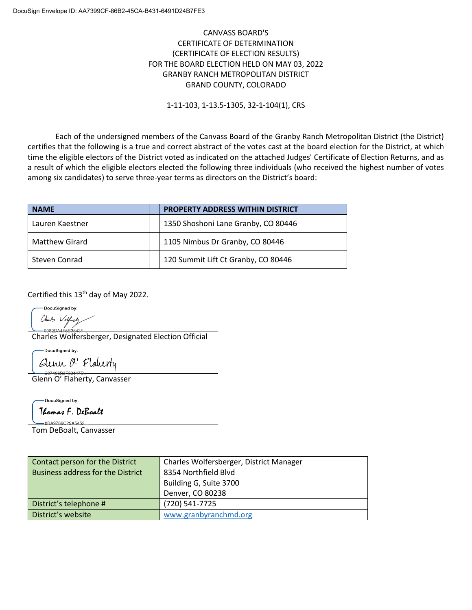## CANVASS BOARD'S CERTIFICATE OF DETERMINATION (CERTIFICATE OF ELECTION RESULTS) FOR THE BOARD ELECTION HELD ON MAY 03, 2022 GRANBY RANCH METROPOLITAN DISTRICT GRAND COUNTY, COLORADO

1-11-103, 1-13.5-1305, 32-1-104(1), CRS

Each of the undersigned members of the Canvass Board of the Granby Ranch Metropolitan District (the District) certifies that the following is a true and correct abstract of the votes cast at the board election for the District, at which time the eligible electors of the District voted as indicated on the attached Judges' Certificate of Election Returns, and as a result of which the eligible electors elected the following three individuals (who received the highest number of votes among six candidates) to serve three-year terms as directors on the District's board:

| <b>NAME</b>           | <b>PROPERTY ADDRESS WITHIN DISTRICT</b> |
|-----------------------|-----------------------------------------|
| Lauren Kaestner       | 1350 Shoshoni Lane Granby, CO 80446     |
| <b>Matthew Girard</b> | 1105 Nimbus Dr Granby, CO 80446         |
| Steven Conrad         | 120 Summit Lift Ct Granby, CO 80446     |

Certified this 13<sup>th</sup> day of May 2022.

DocuSianed by:

Charles Wolfers

Charles Wolfersberger, Designated Election Official

DocuSigned by: Glenn O' Flaturty

Glenn O' Flaherty, Canvasser

-DocuSianed by: Thomas F. DeBoalt

8RA9789C29A5452 Tom DeBoalt, Canvasser

Contact person for the District | Charles Wolfersberger, District Manager Business address for the District  $\begin{array}{|c|c|c|}\n\hline\n8354 & \text{Northfield} & \text{Blvd}\n\hline\n\end{array}$ Building G, Suite 3700 Denver, CO 80238 District's telephone # (720) 541-7725 District's website [www.granbyranchmd.org](http://www.granbyranchmd.org/)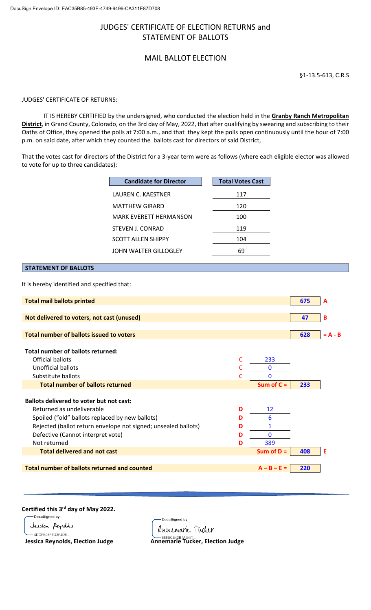# JUDGES' CERTIFICATE OF ELECTION RETURNS and STATEMENT OF BALLOTS

# MAIL BALLOT ELECTION

§1-13.5-613, C.R.S

#### JUDGES' CERTIFICATE OF RETURNS:

IT IS HEREBY CERTIFIED by the undersigned, who conducted the election held in the **Granby Ranch Metropolitan District**, in Grand County, Colorado, on the 3rd day of May, 2022, that after qualifying by swearing and subscribing to their Oaths of Office, they opened the polls at 7:00 a.m., and that they kept the polls open continuously until the hour of 7:00 p.m. on said date, after which they counted the ballots cast for directors of said District,

That the votes cast for directors of the District for a 3-year term were as follows (where each eligible elector was allowed to vote for up to three candidates):

| <b>Candidate for Director</b> | <b>Total Votes Cast</b> |
|-------------------------------|-------------------------|
| LAUREN C. KAESTNER            | 117                     |
| <b>MATTHEW GIRARD</b>         | 120                     |
| <b>MARK EVERETT HERMANSON</b> | 100                     |
| STEVEN J. CONRAD              | 119                     |
| <b>SCOTT ALLEN SHIPPY</b>     | 104                     |
| JOHN WALTER GILLOGLEY         | 69                      |

# **STATEMENT OF BALLOTS**

It is hereby identified and specified that:

| <b>Total mail ballots printed</b>                                                   | 675 | A         |
|-------------------------------------------------------------------------------------|-----|-----------|
|                                                                                     |     |           |
| Not delivered to voters, not cast (unused)                                          | 47  | в         |
| <b>Total number of ballots issued to voters</b>                                     | 628 | $= A - B$ |
|                                                                                     |     |           |
| Total number of ballots returned:                                                   |     |           |
| Official ballots<br>C<br>233                                                        |     |           |
| Unofficial ballots<br>C<br>$\mathbf{0}$                                             |     |           |
| Substitute ballots<br>$\mathbf{0}$<br>C                                             |     |           |
| <b>Total number of ballots returned</b><br>Sum of $C =$                             | 233 |           |
|                                                                                     |     |           |
| <b>Ballots delivered to voter but not cast:</b>                                     |     |           |
| Returned as undeliverable<br>12<br>D                                                |     |           |
| 6<br>Spoiled ("old" ballots replaced by new ballots)<br>D                           |     |           |
| $\mathbf{1}$<br>Rejected (ballot return envelope not signed; unsealed ballots)<br>D |     |           |
| Defective (Cannot interpret vote)<br>$\mathbf{0}$<br>D                              |     |           |
| Not returned<br>389<br>D                                                            |     |           |
| <b>Total delivered and not cast</b><br>Sum of $D =$                                 | 408 | Е         |
|                                                                                     |     |           |
| <b>Total number of ballots returned and counted</b><br>$A - B - E =$                | 220 |           |

Certified this 3<sup>rd</sup> day of May 2022.

Jessíca Peynolds -4DCFB93F6D3F4D8

.<br>DocuSianed by: Annemarie Tucker

**Jessica Reynolds, Election Judge Annemarie Tucker, Election Judge**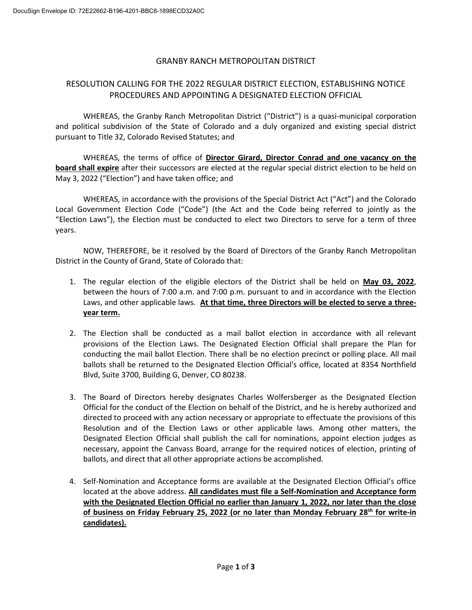## GRANBY RANCH METROPOLITAN DISTRICT

# RESOLUTION CALLING FOR THE 2022 REGULAR DISTRICT ELECTION, ESTABLISHING NOTICE PROCEDURES AND APPOINTING A DESIGNATED ELECTION OFFICIAL

WHEREAS, the Granby Ranch Metropolitan District ("District") is a quasi-municipal corporation and political subdivision of the State of Colorado and a duly organized and existing special district pursuant to Title 32, Colorado Revised Statutes; and

WHEREAS, the terms of office of **Director Girard, Director Conrad and one vacancy on the board shall expire** after their successors are elected at the regular special district election to be held on May 3, 2022 ("Election") and have taken office; and

WHEREAS, in accordance with the provisions of the Special District Act ("Act") and the Colorado Local Government Election Code ("Code") (the Act and the Code being referred to jointly as the "Election Laws"), the Election must be conducted to elect two Directors to serve for a term of three years.

NOW, THEREFORE, be it resolved by the Board of Directors of the Granby Ranch Metropolitan District in the County of Grand, State of Colorado that:

- 1. The regular election of the eligible electors of the District shall be held on **May 03, 2022**, between the hours of 7:00 a.m. and 7:00 p.m. pursuant to and in accordance with the Election Laws, and other applicable laws. **At that time, three Directors will be elected to serve a threeyear term.**
- 2. The Election shall be conducted as a mail ballot election in accordance with all relevant provisions of the Election Laws. The Designated Election Official shall prepare the Plan for conducting the mail ballot Election. There shall be no election precinct or polling place. All mail ballots shall be returned to the Designated Election Official's office, located at 8354 Northfield Blvd, Suite 3700, Building G, Denver, CO 80238.
- 3. The Board of Directors hereby designates Charles Wolfersberger as the Designated Election Official for the conduct of the Election on behalf of the District, and he is hereby authorized and directed to proceed with any action necessary or appropriate to effectuate the provisions of this Resolution and of the Election Laws or other applicable laws. Among other matters, the Designated Election Official shall publish the call for nominations, appoint election judges as necessary, appoint the Canvass Board, arrange for the required notices of election, printing of ballots, and direct that all other appropriate actions be accomplished.
- 4. Self-Nomination and Acceptance forms are available at the Designated Election Official's office located at the above address. **All candidates must file a Self-Nomination and Acceptance form with the Designated Election Official no earlier than January 1, 2022, nor later than the close of business on Friday February 25, 2022 (or no later than Monday February 28th for write-in candidates).**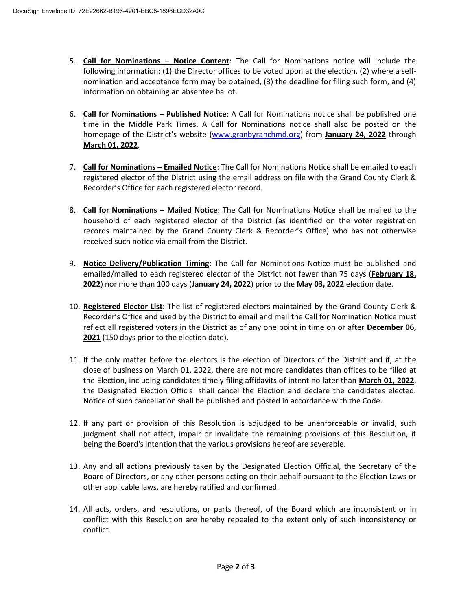- 5. **Call for Nominations – Notice Content**: The Call for Nominations notice will include the following information: (1) the Director offices to be voted upon at the election, (2) where a selfnomination and acceptance form may be obtained, (3) the deadline for filing such form, and (4) information on obtaining an absentee ballot.
- 6. **Call for Nominations – Published Notice**: A Call for Nominations notice shall be published one time in the Middle Park Times. A Call for Nominations notice shall also be posted on the homepage of the District's website [\(www.granbyranchmd.org\)](http://www.granbyranchmd.org/) from **January 24, 2022** through **March 01, 2022**.
- 7. **Call for Nominations – Emailed Notice**: The Call for Nominations Notice shall be emailed to each registered elector of the District using the email address on file with the Grand County Clerk & Recorder's Office for each registered elector record.
- 8. **Call for Nominations – Mailed Notice**: The Call for Nominations Notice shall be mailed to the household of each registered elector of the District (as identified on the voter registration records maintained by the Grand County Clerk & Recorder's Office) who has not otherwise received such notice via email from the District.
- 9. **Notice Delivery/Publication Timing**: The Call for Nominations Notice must be published and emailed/mailed to each registered elector of the District not fewer than 75 days (**February 18, 2022**) nor more than 100 days (**January 24, 2022**) prior to the **May 03, 2022** election date.
- 10. **Registered Elector List**: The list of registered electors maintained by the Grand County Clerk & Recorder's Office and used by the District to email and mail the Call for Nomination Notice must reflect all registered voters in the District as of any one point in time on or after **December 06, 2021** (150 days prior to the election date).
- 11. If the only matter before the electors is the election of Directors of the District and if, at the close of business on March 01, 2022, there are not more candidates than offices to be filled at the Election, including candidates timely filing affidavits of intent no later than **March 01, 2022**, the Designated Election Official shall cancel the Election and declare the candidates elected. Notice of such cancellation shall be published and posted in accordance with the Code.
- 12. If any part or provision of this Resolution is adjudged to be unenforceable or invalid, such judgment shall not affect, impair or invalidate the remaining provisions of this Resolution, it being the Board's intention that the various provisions hereof are severable.
- 13. Any and all actions previously taken by the Designated Election Official, the Secretary of the Board of Directors, or any other persons acting on their behalf pursuant to the Election Laws or other applicable laws, are hereby ratified and confirmed.
- 14. All acts, orders, and resolutions, or parts thereof, of the Board which are inconsistent or in conflict with this Resolution are hereby repealed to the extent only of such inconsistency or conflict.